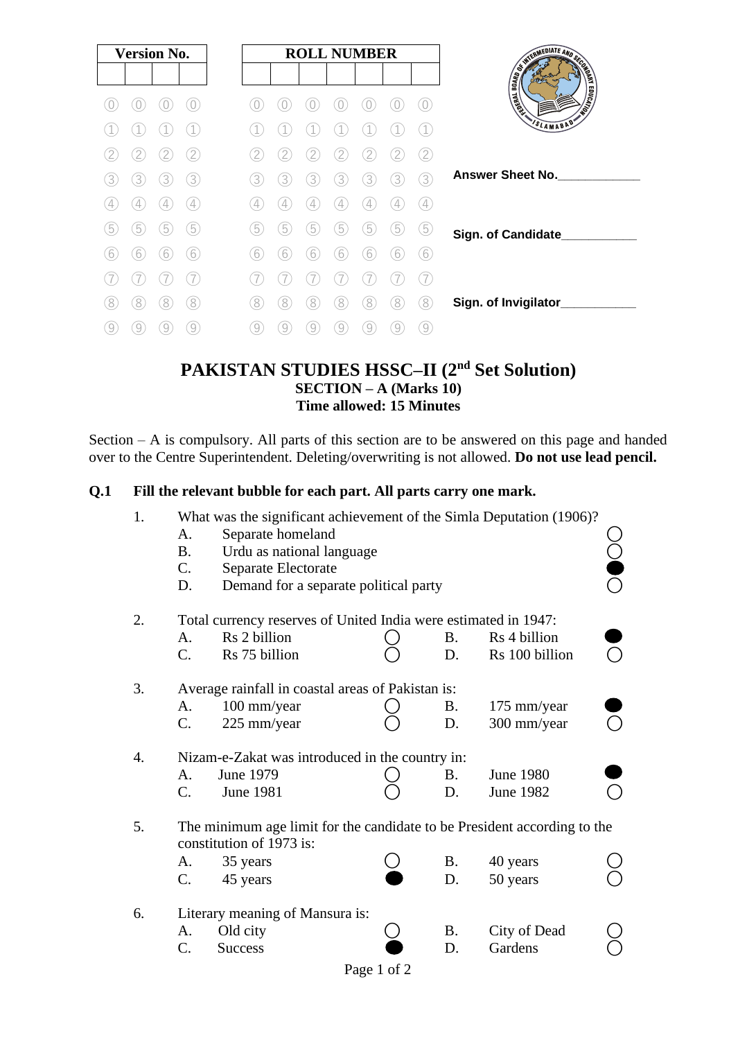| <b>Version No.</b>                      | <b>ROLL NUMBER</b>                              |                                            |
|-----------------------------------------|-------------------------------------------------|--------------------------------------------|
|                                         |                                                 | A BOOK OF THE REAL PROPERTY AND SCRIBED AS |
|                                         |                                                 | <b>SLAMABAD</b>                            |
| 2                                       | 2<br>2<br>2<br>2<br>2<br>2                      |                                            |
| 3<br>3<br>3<br>3                        | 3<br>3<br>3<br>3<br>3<br>3<br>3                 | <b>Answer Sheet No.</b>                    |
| $\overline{4}$<br>4<br>4                | 4<br>4<br>4<br>4<br>4<br>4                      |                                            |
| $\boxed{5}$<br>$\overline{5}$<br>5<br>5 | 5<br>5<br>5<br>5<br>5<br>5<br>5                 | Sign. of Candidate                         |
| 6<br>6<br>6<br>6                        | 6<br>6<br>6<br>6<br>$6^{\circ}$<br>6<br>6       |                                            |
|                                         |                                                 |                                            |
| 8)<br>8<br>8<br>8                       | [8]<br>[8]<br>8.<br>8<br>8<br>8<br>8            | Sign. of Invigilator_                      |
| 9<br>9<br>9<br>9                        | $\left( 9\right)$<br>9<br>9<br>9<br>9<br>9<br>9 |                                            |

# **PAKISTAN STUDIES HSSC–II (2nd Set Solution) SECTION – A (Marks 10) Time allowed: 15 Minutes**

Section – A is compulsory. All parts of this section are to be answered on this page and handed over to the Centre Superintendent. Deleting/overwriting is not allowed. **Do not use lead pencil.**

#### **Q.1 Fill the relevant bubble for each part. All parts carry one mark.**

| 1. |                                 | What was the significant achievement of the Simla Deputation (1906)?                                 |             |           |                  |  |  |  |
|----|---------------------------------|------------------------------------------------------------------------------------------------------|-------------|-----------|------------------|--|--|--|
|    | A.                              | Separate homeland                                                                                    |             |           |                  |  |  |  |
|    | <b>B.</b>                       | Urdu as national language                                                                            |             |           |                  |  |  |  |
|    | $\mathbf{C}$ .                  | Separate Electorate                                                                                  |             |           |                  |  |  |  |
|    | D.                              | Demand for a separate political party                                                                |             |           |                  |  |  |  |
| 2. |                                 | Total currency reserves of United India were estimated in 1947:                                      |             |           |                  |  |  |  |
|    | A.                              | Rs 2 billion                                                                                         |             | В.        | Rs 4 billion     |  |  |  |
|    | C.                              | Rs 75 billion                                                                                        |             | D.        | Rs 100 billion   |  |  |  |
| 3. |                                 | Average rainfall in coastal areas of Pakistan is:                                                    |             |           |                  |  |  |  |
|    | A.                              | 100 mm/year                                                                                          |             | Β.        | 175 mm/year      |  |  |  |
|    | C.                              | 225 mm/year                                                                                          |             | D.        | 300 mm/year      |  |  |  |
| 4. |                                 | Nizam-e-Zakat was introduced in the country in:                                                      |             |           |                  |  |  |  |
|    | A.                              | <b>June 1979</b>                                                                                     |             | B.        | <b>June 1980</b> |  |  |  |
|    | $C_{\cdot}$                     | <b>June 1981</b>                                                                                     |             | D.        | <b>June 1982</b> |  |  |  |
| 5. |                                 | The minimum age limit for the candidate to be President according to the<br>constitution of 1973 is: |             |           |                  |  |  |  |
|    | A.                              | 35 years                                                                                             |             | B.        | 40 years         |  |  |  |
|    | C.                              | 45 years                                                                                             |             | D.        | 50 years         |  |  |  |
| 6. | Literary meaning of Mansura is: |                                                                                                      |             |           |                  |  |  |  |
|    | A.                              | Old city                                                                                             |             | <b>B.</b> | City of Dead     |  |  |  |
|    | C.                              | <b>Success</b>                                                                                       |             | D.        | Gardens          |  |  |  |
|    |                                 |                                                                                                      | Page 1 of 2 |           |                  |  |  |  |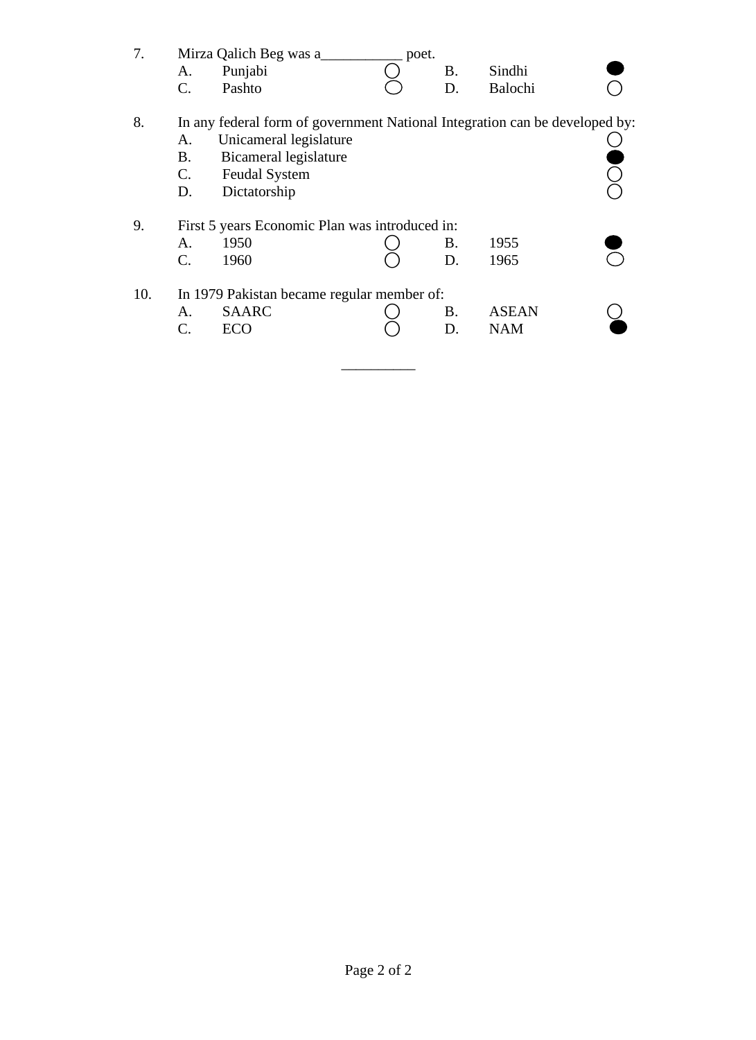| 7.                                                   | A.<br>C.                                   | Mirza Qalich Beg was a<br>Punjabi<br>Pashto                                                                                                                            | poet. | B.<br>D.  | Sindhi<br>Balochi |  |  |
|------------------------------------------------------|--------------------------------------------|------------------------------------------------------------------------------------------------------------------------------------------------------------------------|-------|-----------|-------------------|--|--|
| 8.                                                   | A.<br>Β.<br>$\mathbf{C}$ .<br>D.           | In any federal form of government National Integration can be developed by:<br>Unicameral legislature<br>Bicameral legislature<br><b>Feudal System</b><br>Dictatorship |       |           |                   |  |  |
| 9.<br>First 5 years Economic Plan was introduced in: |                                            |                                                                                                                                                                        |       |           |                   |  |  |
|                                                      | A.                                         | 1950                                                                                                                                                                   |       | Β.        | 1955              |  |  |
|                                                      | C.                                         | 1960                                                                                                                                                                   |       | D.        | 1965              |  |  |
| 10.                                                  | In 1979 Pakistan became regular member of: |                                                                                                                                                                        |       |           |                   |  |  |
|                                                      | A.                                         | <b>SAARC</b>                                                                                                                                                           |       | <b>B.</b> | <b>ASEAN</b>      |  |  |
|                                                      | C.                                         | <b>ECO</b>                                                                                                                                                             |       | D.        | <b>NAM</b>        |  |  |
|                                                      |                                            |                                                                                                                                                                        |       |           |                   |  |  |

 $\frac{1}{2}$  ,  $\frac{1}{2}$  ,  $\frac{1}{2}$  ,  $\frac{1}{2}$  ,  $\frac{1}{2}$  ,  $\frac{1}{2}$  ,  $\frac{1}{2}$  ,  $\frac{1}{2}$  ,  $\frac{1}{2}$  ,  $\frac{1}{2}$  ,  $\frac{1}{2}$  ,  $\frac{1}{2}$  ,  $\frac{1}{2}$  ,  $\frac{1}{2}$  ,  $\frac{1}{2}$  ,  $\frac{1}{2}$  ,  $\frac{1}{2}$  ,  $\frac{1}{2}$  ,  $\frac{1$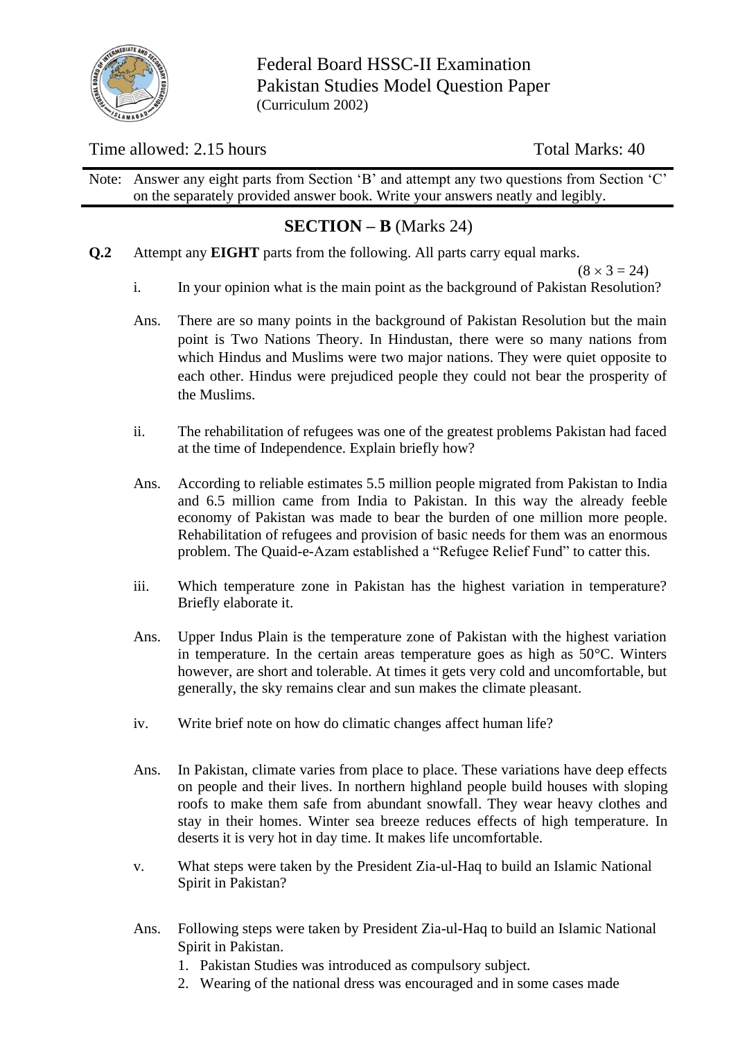

Federal Board HSSC-II Examination Pakistan Studies Model Question Paper (Curriculum 2002)

# Time allowed: 2.15 hours Total Marks: 40

Note: Answer any eight parts from Section 'B' and attempt any two questions from Section 'C' on the separately provided answer book. Write your answers neatly and legibly.

# **SECTION – B** (Marks 24)

**Q.2** Attempt any **EIGHT** parts from the following. All parts carry equal marks.

 $(8 \times 3 = 24)$ 

- i. In your opinion what is the main point as the background of Pakistan Resolution?
- Ans. There are so many points in the background of Pakistan Resolution but the main point is Two Nations Theory. In Hindustan, there were so many nations from which Hindus and Muslims were two major nations. They were quiet opposite to each other. Hindus were prejudiced people they could not bear the prosperity of the Muslims.
- ii. The rehabilitation of refugees was one of the greatest problems Pakistan had faced at the time of Independence. Explain briefly how?
- Ans. According to reliable estimates 5.5 million people migrated from Pakistan to India and 6.5 million came from India to Pakistan. In this way the already feeble economy of Pakistan was made to bear the burden of one million more people. Rehabilitation of refugees and provision of basic needs for them was an enormous problem. The Quaid-e-Azam established a "Refugee Relief Fund" to catter this.
- iii. Which temperature zone in Pakistan has the highest variation in temperature? Briefly elaborate it.
- Ans. Upper Indus Plain is the temperature zone of Pakistan with the highest variation in temperature. In the certain areas temperature goes as high as 50°C. Winters however, are short and tolerable. At times it gets very cold and uncomfortable, but generally, the sky remains clear and sun makes the climate pleasant.
- iv. Write brief note on how do climatic changes affect human life?
- Ans. In Pakistan, climate varies from place to place. These variations have deep effects on people and their lives. In northern highland people build houses with sloping roofs to make them safe from abundant snowfall. They wear heavy clothes and stay in their homes. Winter sea breeze reduces effects of high temperature. In deserts it is very hot in day time. It makes life uncomfortable.
- v. What steps were taken by the President Zia-ul-Haq to build an Islamic National Spirit in Pakistan?
- Ans. Following steps were taken by President Zia-ul-Haq to build an Islamic National Spirit in Pakistan.
	- 1. Pakistan Studies was introduced as compulsory subject.
	- 2. Wearing of the national dress was encouraged and in some cases made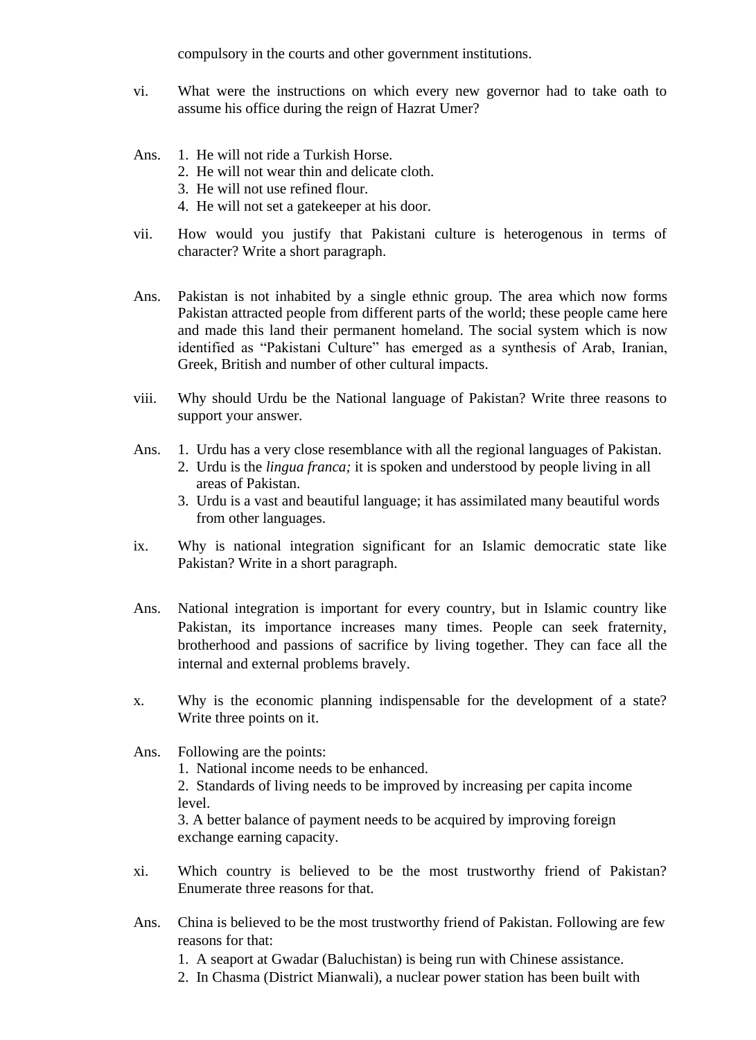compulsory in the courts and other government institutions.

- vi. What were the instructions on which every new governor had to take oath to assume his office during the reign of Hazrat Umer?
- Ans. 1. He will not ride a Turkish Horse.
	- 2. He will not wear thin and delicate cloth.
	- 3. He will not use refined flour.
	- 4. He will not set a gatekeeper at his door.
- vii. How would you justify that Pakistani culture is heterogenous in terms of character? Write a short paragraph.
- Ans. Pakistan is not inhabited by a single ethnic group. The area which now forms Pakistan attracted people from different parts of the world; these people came here and made this land their permanent homeland. The social system which is now identified as "Pakistani Culture" has emerged as a synthesis of Arab, Iranian, Greek, British and number of other cultural impacts.
- viii. Why should Urdu be the National language of Pakistan? Write three reasons to support your answer.
- Ans. 1. Urdu has a very close resemblance with all the regional languages of Pakistan. 2. Urdu is the *lingua franca;* it is spoken and understood by people living in all areas of Pakistan.
	- 3. Urdu is a vast and beautiful language; it has assimilated many beautiful words from other languages.
- ix. Why is national integration significant for an Islamic democratic state like Pakistan? Write in a short paragraph.
- Ans. National integration is important for every country, but in Islamic country like Pakistan, its importance increases many times. People can seek fraternity, brotherhood and passions of sacrifice by living together. They can face all the internal and external problems bravely.
- x. Why is the economic planning indispensable for the development of a state? Write three points on it.
- Ans. Following are the points:

1. National income needs to be enhanced.

2. Standards of living needs to be improved by increasing per capita income level.

3. A better balance of payment needs to be acquired by improving foreign exchange earning capacity.

- xi. Which country is believed to be the most trustworthy friend of Pakistan? Enumerate three reasons for that.
- Ans. China is believed to be the most trustworthy friend of Pakistan. Following are few reasons for that:
	- 1. A seaport at Gwadar (Baluchistan) is being run with Chinese assistance.
	- 2. In Chasma (District Mianwali), a nuclear power station has been built with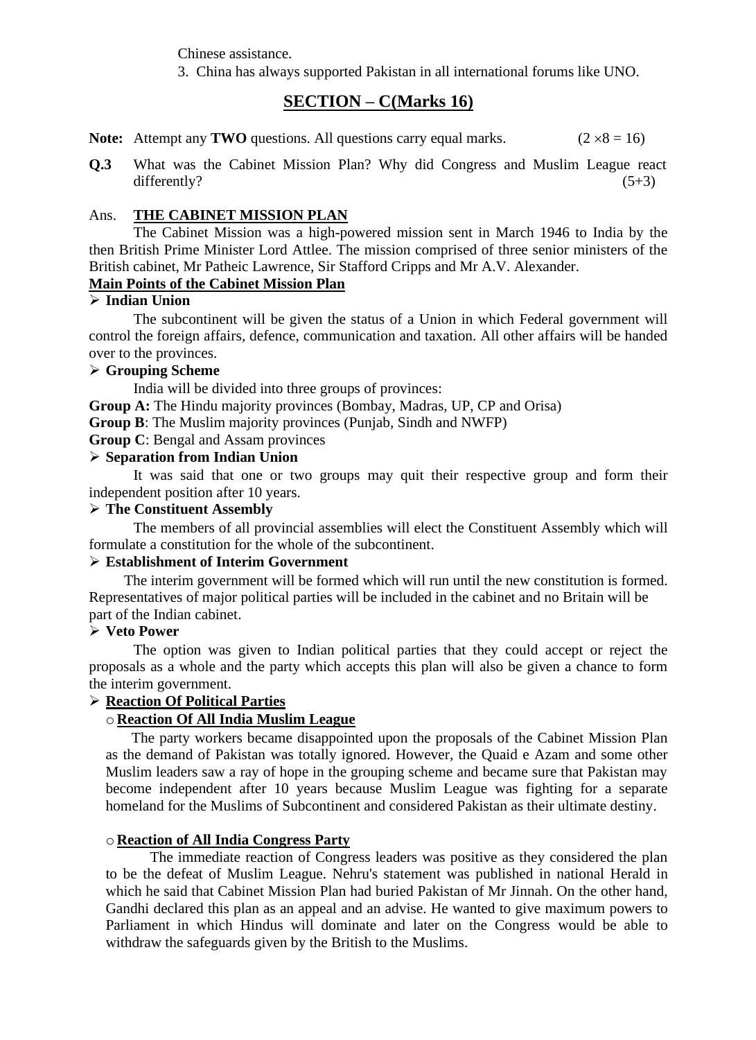Chinese assistance.

3. China has always supported Pakistan in all international forums like UNO.

# **SECTION – C(Marks 16)**

**Note:** Attempt any **TWO** questions. All questions carry equal marks. ( $2 \times 8 = 16$ )

**Q.3** What was the Cabinet Mission Plan? Why did Congress and Muslim League react differently?  $(5+3)$ 

#### Ans. **THE CABINET MISSION PLAN**

The Cabinet Mission was a high-powered mission sent in March 1946 to India by the then British Prime Minister Lord Attlee. The mission comprised of three senior ministers of the British cabinet, Mr Patheic Lawrence, Sir Stafford Cripps and Mr A.V. Alexander.

### **Main Points of the Cabinet Mission Plan**

### ➢ **Indian Union**

The subcontinent will be given the status of a Union in which Federal government will control the foreign affairs, defence, communication and taxation. All other affairs will be handed over to the provinces.

### ➢ **Grouping Scheme**

India will be divided into three groups of provinces:

**Group A:** The Hindu majority provinces (Bombay, Madras, UP, CP and Orisa)

**Group B**: The Muslim majority provinces (Punjab, Sindh and NWFP)

**Group C**: Bengal and Assam provinces

#### ➢ **Separation from Indian Union**

It was said that one or two groups may quit their respective group and form their independent position after 10 years.

### ➢ **The Constituent Assembly**

The members of all provincial assemblies will elect the Constituent Assembly which will formulate a constitution for the whole of the subcontinent.

#### ➢ **Establishment of Interim Government**

The interim government will be formed which will run until the new constitution is formed. Representatives of major political parties will be included in the cabinet and no Britain will be part of the Indian cabinet.

#### ➢ **Veto Power**

The option was given to Indian political parties that they could accept or reject the proposals as a whole and the party which accepts this plan will also be given a chance to form the interim government.

#### ➢ **Reaction Of Political Parties**

### o **Reaction Of All India Muslim League**

 The party workers became disappointed upon the proposals of the Cabinet Mission Plan as the demand of Pakistan was totally ignored. However, the Quaid e Azam and some other Muslim leaders saw a ray of hope in the grouping scheme and became sure that Pakistan may become independent after 10 years because Muslim League was fighting for a separate homeland for the Muslims of Subcontinent and considered Pakistan as their ultimate destiny.

### o **Reaction of All India Congress Party**

The immediate reaction of Congress leaders was positive as they considered the plan to be the defeat of Muslim League. Nehru's statement was published in national Herald in which he said that Cabinet Mission Plan had buried Pakistan of Mr Jinnah. On the other hand, Gandhi declared this plan as an appeal and an advise. He wanted to give maximum powers to Parliament in which Hindus will dominate and later on the Congress would be able to withdraw the safeguards given by the British to the Muslims.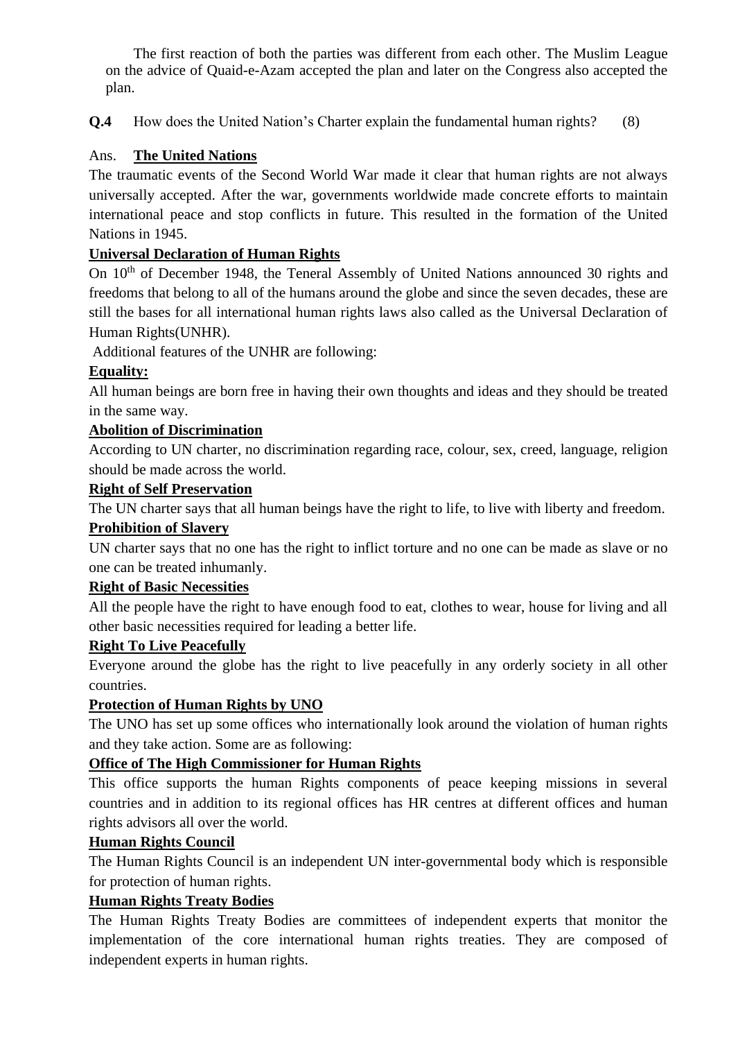The first reaction of both the parties was different from each other. The Muslim League on the advice of Quaid-e-Azam accepted the plan and later on the Congress also accepted the plan.

**Q.4** How does the United Nation's Charter explain the fundamental human rights? (8)

# Ans. **The United Nations**

The traumatic events of the Second World War made it clear that human rights are not always universally accepted. After the war, governments worldwide made concrete efforts to maintain international peace and stop conflicts in future. This resulted in the formation of the United Nations in 1945.

# **Universal Declaration of Human Rights**

On 10<sup>th</sup> of December 1948, the Teneral Assembly of United Nations announced 30 rights and freedoms that belong to all of the humans around the globe and since the seven decades, these are still the bases for all international human rights laws also called as the Universal Declaration of Human Rights(UNHR).

Additional features of the UNHR are following:

# **Equality:**

All human beings are born free in having their own thoughts and ideas and they should be treated in the same way.

## **Abolition of Discrimination**

According to UN charter, no discrimination regarding race, colour, sex, creed, language, religion should be made across the world.

## **Right of Self Preservation**

The UN charter says that all human beings have the right to life, to live with liberty and freedom.

## **Prohibition of Slavery**

UN charter says that no one has the right to inflict torture and no one can be made as slave or no one can be treated inhumanly.

# **Right of Basic Necessities**

All the people have the right to have enough food to eat, clothes to wear, house for living and all other basic necessities required for leading a better life.

# **Right To Live Peacefully**

Everyone around the globe has the right to live peacefully in any orderly society in all other countries.

# **Protection of Human Rights by UNO**

The UNO has set up some offices who internationally look around the violation of human rights and they take action. Some are as following:

# **Office of The High Commissioner for Human Rights**

This office supports the human Rights components of peace keeping missions in several countries and in addition to its regional offices has HR centres at different offices and human rights advisors all over the world.

# **Human Rights Council**

The Human Rights Council is an independent UN inter-governmental body which is responsible for protection of human rights.

### **Human Rights Treaty Bodies**

The Human Rights Treaty Bodies are committees of independent experts that monitor the implementation of the core international human rights treaties. They are composed of independent experts in human rights.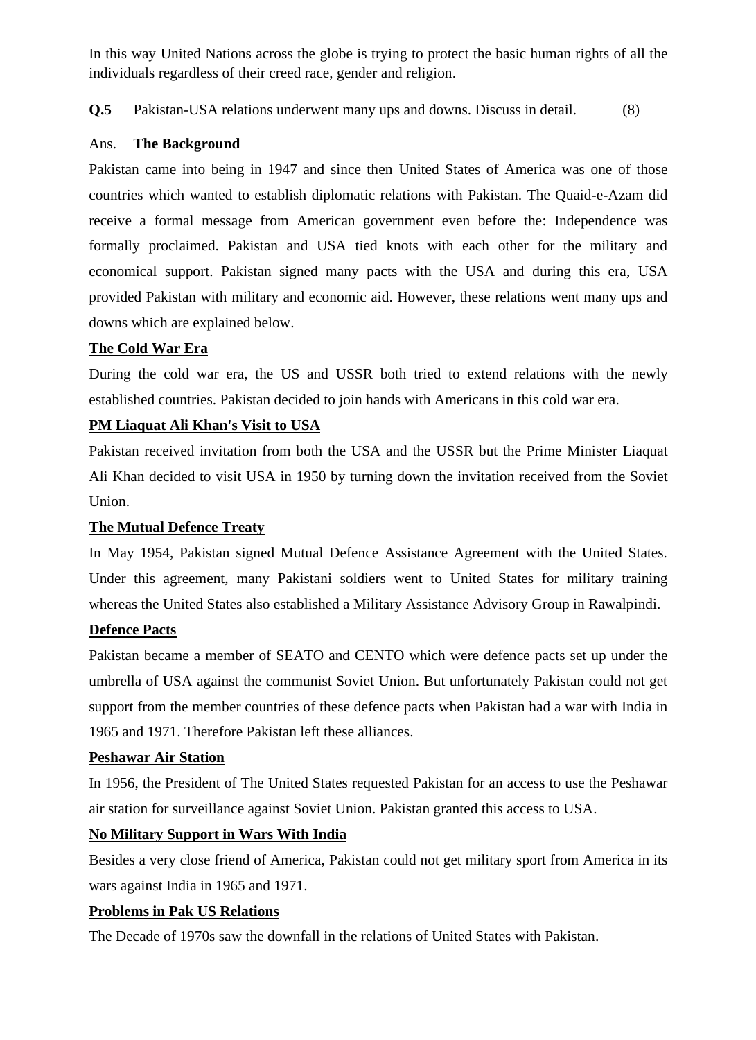In this way United Nations across the globe is trying to protect the basic human rights of all the individuals regardless of their creed race, gender and religion.

**Q.5** Pakistan-USA relations underwent many ups and downs. Discuss in detail. (8)

### Ans. **The Background**

Pakistan came into being in 1947 and since then United States of America was one of those countries which wanted to establish diplomatic relations with Pakistan. The Quaid-e-Azam did receive a formal message from American government even before the: Independence was formally proclaimed. Pakistan and USA tied knots with each other for the military and economical support. Pakistan signed many pacts with the USA and during this era, USA provided Pakistan with military and economic aid. However, these relations went many ups and downs which are explained below.

### **The Cold War Era**

During the cold war era, the US and USSR both tried to extend relations with the newly established countries. Pakistan decided to join hands with Americans in this cold war era.

### **PM Liaquat Ali Khan's Visit to USA**

Pakistan received invitation from both the USA and the USSR but the Prime Minister Liaquat Ali Khan decided to visit USA in 1950 by turning down the invitation received from the Soviet Union.

#### **The Mutual Defence Treaty**

In May 1954, Pakistan signed Mutual Defence Assistance Agreement with the United States. Under this agreement, many Pakistani soldiers went to United States for military training whereas the United States also established a Military Assistance Advisory Group in Rawalpindi.

#### **Defence Pacts**

Pakistan became a member of SEATO and CENTO which were defence pacts set up under the umbrella of USA against the communist Soviet Union. But unfortunately Pakistan could not get support from the member countries of these defence pacts when Pakistan had a war with India in 1965 and 1971. Therefore Pakistan left these alliances.

### **Peshawar Air Station**

In 1956, the President of The United States requested Pakistan for an access to use the Peshawar air station for surveillance against Soviet Union. Pakistan granted this access to USA.

### **No Military Support in Wars With India**

Besides a very close friend of America, Pakistan could not get military sport from America in its wars against India in 1965 and 1971.

#### **Problems in Pak US Relations**

The Decade of 1970s saw the downfall in the relations of United States with Pakistan.